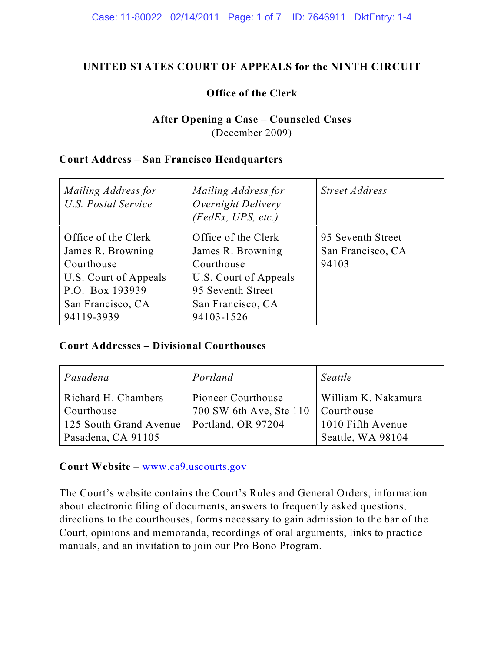#### **UNITED STATES COURT OF APPEALS for the NINTH CIRCUIT**

### **Office of the Clerk**

# **After Opening a Case – Counseled Cases** (December 2009)

#### **Court Address – San Francisco Headquarters**

| Mailing Address for<br>U.S. Postal Service                                                                                            | Mailing Address for<br>Overnight Delivery<br>(FedEx, UPS, etc.)                                                                         | <b>Street Address</b>                           |
|---------------------------------------------------------------------------------------------------------------------------------------|-----------------------------------------------------------------------------------------------------------------------------------------|-------------------------------------------------|
| Office of the Clerk<br>James R. Browning<br>Courthouse<br>U.S. Court of Appeals<br>P.O. Box 193939<br>San Francisco, CA<br>94119-3939 | Office of the Clerk<br>James R. Browning<br>Courthouse<br>U.S. Court of Appeals<br>95 Seventh Street<br>San Francisco, CA<br>94103-1526 | 95 Seventh Street<br>San Francisco, CA<br>94103 |

### **Court Addresses – Divisional Courthouses**

| Pasadena                                 | Portland                                      | Seattle                             |  |
|------------------------------------------|-----------------------------------------------|-------------------------------------|--|
| Richard H. Chambers<br><b>Courthouse</b> | Pioneer Courthouse<br>700 SW 6th Ave, Ste 110 | William K. Nakamura<br>  Courthouse |  |
| 125 South Grand Avenue                   | Portland, OR 97204                            | 1010 Fifth Avenue                   |  |
| Pasadena, CA 91105                       |                                               | Seattle, WA 98104                   |  |

#### **Court Website** – [www.ca9.uscourts.gov](http://www.ca9.uscourts.gov)

The Court's website contains the Court's Rules and General Orders, information about electronic filing of documents, answers to frequently asked questions, directions to the courthouses, forms necessary to gain admission to the bar of the Court, opinions and memoranda, recordings of oral arguments, links to practice manuals, and an invitation to join our Pro Bono Program.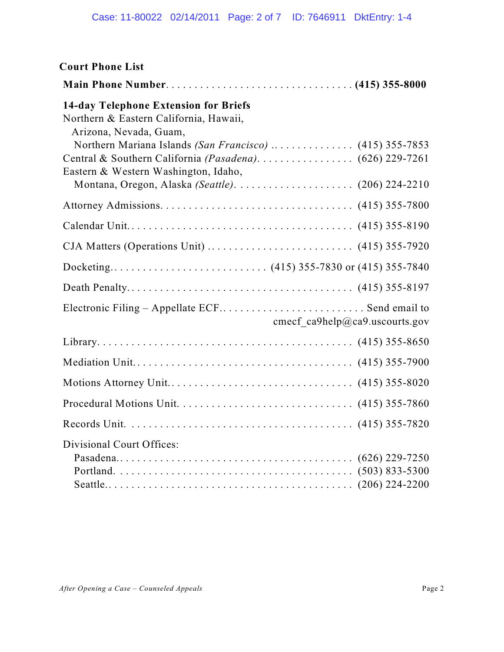| <b>Court Phone List</b>                                                                                   |                                |
|-----------------------------------------------------------------------------------------------------------|--------------------------------|
|                                                                                                           |                                |
| 14-day Telephone Extension for Briefs<br>Northern & Eastern California, Hawaii,<br>Arizona, Nevada, Guam, |                                |
| Eastern & Western Washington, Idaho,                                                                      |                                |
| Montana, Oregon, Alaska (Seattle).  (206) 224-2210                                                        |                                |
|                                                                                                           |                                |
|                                                                                                           |                                |
| CJA Matters (Operations Unit) $\dots \dots \dots \dots \dots \dots \dots \dots$ (415) 355-7920            |                                |
|                                                                                                           |                                |
|                                                                                                           |                                |
|                                                                                                           | cmecf ca9help@ca9.uscourts.gov |
|                                                                                                           |                                |
|                                                                                                           |                                |
|                                                                                                           |                                |
|                                                                                                           |                                |
|                                                                                                           |                                |
| Divisional Court Offices:                                                                                 |                                |
|                                                                                                           |                                |
|                                                                                                           |                                |
|                                                                                                           |                                |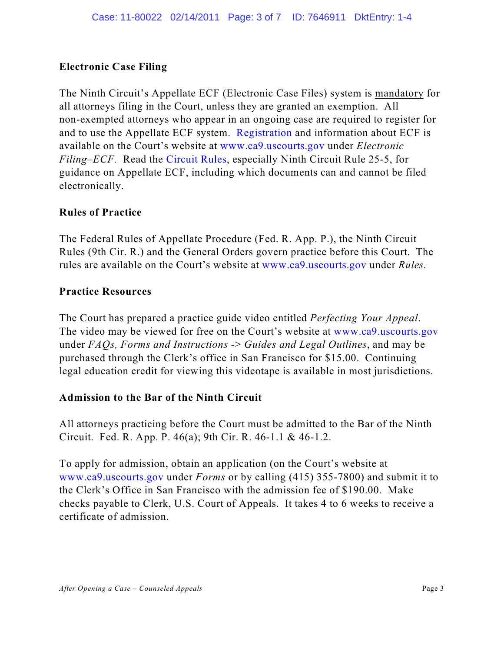# **Electronic Case Filing**

The Ninth Circuit's Appellate ECF (Electronic Case Files) system is mandatory for all attorneys filing in the Court, unless they are granted an exemption. All non-exempted attorneys who appear in an ongoing case are required to register for and to use the Appellate ECF syste[m. Registration](http://pacer.psc.uscourts.gov/announcements/general/ea_filer.html) and information about ECF is available on the Court's website at [www.ca9.uscourts.gov](http://www.ca9.uscourts.gov/cmecf/view.php?pk_id=0000000098#section-registration) under *Electronic Filing–ECF.* Read the [Circuit Rules](http://www.ca9.uscourts.gov/rules/), especially Ninth Circuit Rule 25-5, for guidance on Appellate ECF, including which documents can and cannot be filed electronically.

### **Rules of Practice**

The Federal Rules of Appellate Procedure (Fed. R. App. P.), the Ninth Circuit Rules (9th Cir. R.) and the General Orders govern practice before this Court. The rules are available on the Court's website at [www.ca9.uscourts.gov](http://www.ca9.uscourts.gov) under *Rules.*

### **Practice Resources**

The Court has prepared a practice guide video entitled *Perfecting Your Appeal*. The video may be viewed for free on the Court's website at [www.ca9.uscourts.gov](http://www.ca9.uscourts.gov) under *FAQs, Forms and Instructions* -> *Guides and Legal Outlines*, and may be purchased through the Clerk's office in San Francisco for \$15.00. Continuing legal education credit for viewing this videotape is available in most jurisdictions.

## **Admission to the Bar of the Ninth Circuit**

All attorneys practicing before the Court must be admitted to the Bar of the Ninth Circuit. Fed. R. App. P. 46(a); 9th Cir. R. 46-1.1 & 46-1.2.

To apply for admission, obtain an application (on the Court's website at [www.ca9.uscourts.gov](http://www.ca9.uscourts.gov) under *Forms* or by calling (415) 355-7800) and submit it to the Clerk's Office in San Francisco with the admission fee of \$190.00. Make checks payable to Clerk, U.S. Court of Appeals. It takes 4 to 6 weeks to receive a certificate of admission.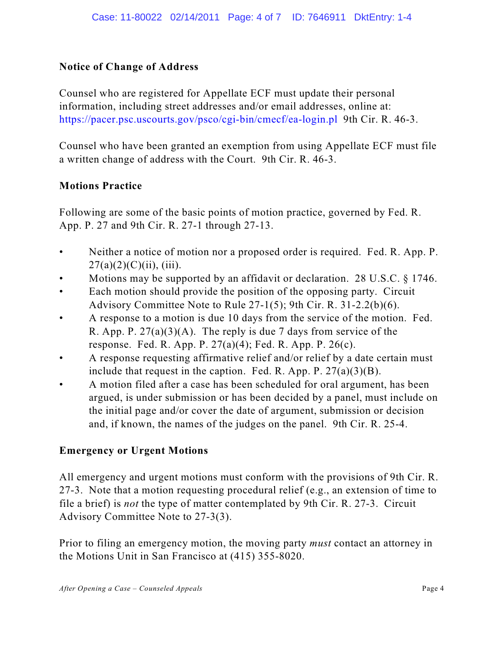### **Notice of Change of Address**

Counsel who are registered for Appellate ECF must update their personal information, including street addresses and/or email addresses, online at: [https://pacer.psc.uscourts.gov/psco/cgi-bin/cmecf/ea-login.pl](https://pacer.psc.uscourts.gov/psco/cgi-bin/cmecf/ea-login.pl%20) 9th Cir. R. 46-3.

Counsel who have been granted an exemption from using Appellate ECF must file a written change of address with the Court. 9th Cir. R. 46-3.

### **Motions Practice**

Following are some of the basic points of motion practice, governed by Fed. R. App. P. 27 and 9th Cir. R. 27-1 through 27-13.

- Neither a notice of motion nor a proposed order is required. Fed. R. App. P.  $27(a)(2)(C)(ii)$ , (iii).
- Motions may be supported by an affidavit or declaration. 28 U.S.C. § 1746.
- Each motion should provide the position of the opposing party. Circuit Advisory Committee Note to Rule 27-1(5); 9th Cir. R. 31-2.2(b)(6).
- A response to a motion is due 10 days from the service of the motion. Fed. R. App. P.  $27(a)(3)(A)$ . The reply is due 7 days from service of the response. Fed. R. App. P. 27(a)(4); Fed. R. App. P. 26(c).
- A response requesting affirmative relief and/or relief by a date certain must include that request in the caption. Fed. R. App. P.  $27(a)(3)(B)$ .
- A motion filed after a case has been scheduled for oral argument, has been argued, is under submission or has been decided by a panel, must include on the initial page and/or cover the date of argument, submission or decision and, if known, the names of the judges on the panel. 9th Cir. R. 25-4.

## **Emergency or Urgent Motions**

All emergency and urgent motions must conform with the provisions of 9th Cir. R. 27-3. Note that a motion requesting procedural relief (e.g., an extension of time to file a brief) is *not* the type of matter contemplated by 9th Cir. R. 27-3. Circuit Advisory Committee Note to 27-3(3).

Prior to filing an emergency motion, the moving party *must* contact an attorney in the Motions Unit in San Francisco at (415) 355-8020.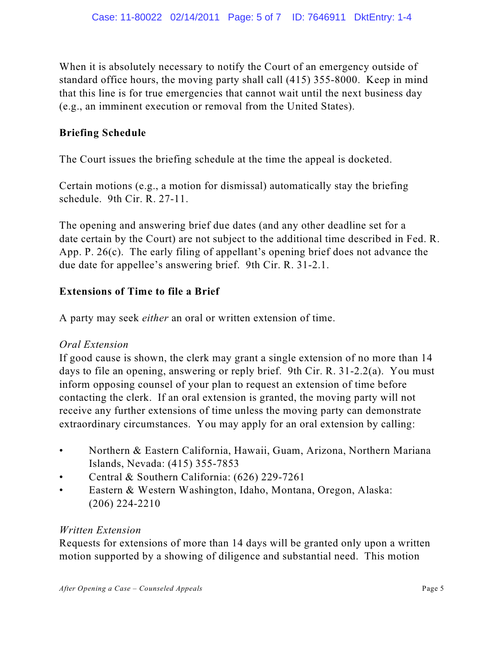When it is absolutely necessary to notify the Court of an emergency outside of standard office hours, the moving party shall call (415) 355-8000. Keep in mind that this line is for true emergencies that cannot wait until the next business day (e.g., an imminent execution or removal from the United States).

# **Briefing Schedule**

The Court issues the briefing schedule at the time the appeal is docketed.

Certain motions (e.g., a motion for dismissal) automatically stay the briefing schedule. 9th Cir. R. 27-11.

The opening and answering brief due dates (and any other deadline set for a date certain by the Court) are not subject to the additional time described in Fed. R. App. P. 26(c). The early filing of appellant's opening brief does not advance the due date for appellee's answering brief. 9th Cir. R. 31-2.1.

# **Extensions of Time to file a Brief**

A party may seek *either* an oral or written extension of time.

## *Oral Extension*

If good cause is shown, the clerk may grant a single extension of no more than 14 days to file an opening, answering or reply brief. 9th Cir. R. 31-2.2(a). You must inform opposing counsel of your plan to request an extension of time before contacting the clerk. If an oral extension is granted, the moving party will not receive any further extensions of time unless the moving party can demonstrate extraordinary circumstances. You may apply for an oral extension by calling:

- Northern & Eastern California, Hawaii, Guam, Arizona, Northern Mariana Islands, Nevada: (415) 355-7853
- Central & Southern California: (626) 229-7261
- Eastern & Western Washington, Idaho, Montana, Oregon, Alaska: (206) 224-2210

## *Written Extension*

Requests for extensions of more than 14 days will be granted only upon a written motion supported by a showing of diligence and substantial need. This motion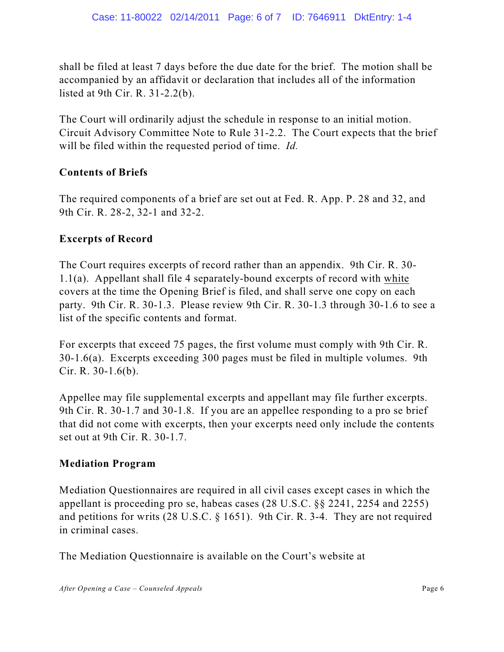shall be filed at least 7 days before the due date for the brief. The motion shall be accompanied by an affidavit or declaration that includes all of the information listed at 9th Cir. R. 31-2.2(b).

The Court will ordinarily adjust the schedule in response to an initial motion. Circuit Advisory Committee Note to Rule 31-2.2. The Court expects that the brief will be filed within the requested period of time. *Id.* 

## **Contents of Briefs**

The required components of a brief are set out at Fed. R. App. P. 28 and 32, and 9th Cir. R. 28-2, 32-1 and 32-2.

## **Excerpts of Record**

The Court requires excerpts of record rather than an appendix. 9th Cir. R. 30- 1.1(a). Appellant shall file 4 separately-bound excerpts of record with white covers at the time the Opening Brief is filed, and shall serve one copy on each party. 9th Cir. R. 30-1.3. Please review 9th Cir. R. 30-1.3 through 30-1.6 to see a list of the specific contents and format.

For excerpts that exceed 75 pages, the first volume must comply with 9th Cir. R. 30-1.6(a). Excerpts exceeding 300 pages must be filed in multiple volumes. 9th Cir. R. 30-1.6(b).

Appellee may file supplemental excerpts and appellant may file further excerpts. 9th Cir. R. 30-1.7 and 30-1.8. If you are an appellee responding to a pro se brief that did not come with excerpts, then your excerpts need only include the contents set out at 9th Cir. R. 30-1.7.

## **Mediation Program**

Mediation Questionnaires are required in all civil cases except cases in which the appellant is proceeding pro se, habeas cases (28 U.S.C. §§ 2241, 2254 and 2255) and petitions for writs (28 U.S.C. § 1651). 9th Cir. R. 3-4. They are not required in criminal cases.

The Mediation Questionnaire is available on the Court's website at